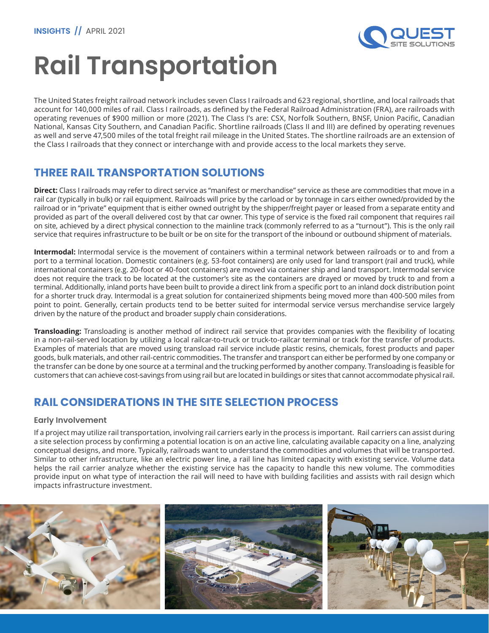

# **Rail Transportation**

The United States freight railroad network includes seven Class I railroads and 623 regional, shortline, and local railroads that account for 140,000 miles of rail. Class I railroads, as defined by the Federal Railroad Administration (FRA), are railroads with operating revenues of \$900 million or more (2021). The Class I's are: CSX, Norfolk Southern, BNSF, Union Pacific, Canadian National, Kansas City Southern, and Canadian Pacific. Shortline railroads (Class II and III) are defined by operating revenues as well and serve 47,500 miles of the total freight rail mileage in the United States. The shortline railroads are an extension of the Class I railroads that they connect or interchange with and provide access to the local markets they serve.

## **THREE RAIL TRANSPORTATION SOLUTIONS**

**Direct:** Class I railroads may refer to direct service as "manifest or merchandise" service as these are commodities that move in a rail car (typically in bulk) or rail equipment. Railroads will price by the carload or by tonnage in cars either owned/provided by the railroad or in "private" equipment that is either owned outright by the shipper/freight payer or leased from a separate entity and provided as part of the overall delivered cost by that car owner. This type of service is the fixed rail component that requires rail on site, achieved by a direct physical connection to the mainline track (commonly referred to as a "turnout"). This is the only rail service that requires infrastructure to be built or be on site for the transport of the inbound or outbound shipment of materials.

**Intermodal:** Intermodal service is the movement of containers within a terminal network between railroads or to and from a port to a terminal location. Domestic containers (e.g. 53-foot containers) are only used for land transport (rail and truck), while international containers (e.g. 20-foot or 40-foot containers) are moved via container ship and land transport. Intermodal service does not require the track to be located at the customer's site as the containers are drayed or moved by truck to and from a terminal. Additionally, inland ports have been built to provide a direct link from a specific port to an inland dock distribution point for a shorter truck dray. Intermodal is a great solution for containerized shipments being moved more than 400-500 miles from point to point. Generally, certain products tend to be better suited for intermodal service versus merchandise service largely driven by the nature of the product and broader supply chain considerations.

**Transloading:** Transloading is another method of indirect rail service that provides companies with the flexibility of locating in a non-rail-served location by utilizing a local railcar-to-truck or truck-to-railcar terminal or track for the transfer of products. Examples of materials that are moved using transload rail service include plastic resins, chemicals, forest products and paper goods, bulk materials, and other rail-centric commodities. The transfer and transport can either be performed by one company or the transfer can be done by one source at a terminal and the trucking performed by another company. Transloading is feasible for customers that can achieve cost-savings from using rail but are located in buildings or sites that cannot accommodate physical rail.

## **RAIL CONSIDERATIONS IN THE SITE SELECTION PROCESS**

#### **Early Involvement**

If a project may utilize rail transportation, involving rail carriers early in the process is important. Rail carriers can assist during a site selection process by confirming a potential location is on an active line, calculating available capacity on a line, analyzing conceptual designs, and more. Typically, railroads want to understand the commodities and volumes that will be transported. Similar to other infrastructure, like an electric power line, a rail line has limited capacity with existing service. Volume data helps the rail carrier analyze whether the existing service has the capacity to handle this new volume. The commodities provide input on what type of interaction the rail will need to have with building facilities and assists with rail design which impacts infrastructure investment.